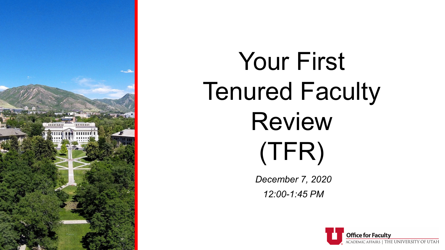

# Your First Tenured Faculty Review (TFR)

*December 7, 2020 12:00-1:45 PM*

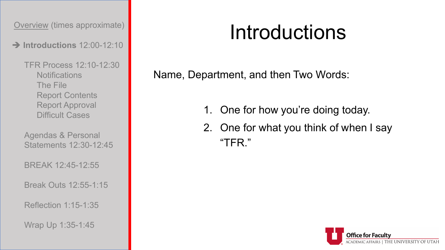**Introductions** 12:00-12:10

TFR Process 12:10-12:30 **Notifications** The File Report Contents Report Approval Difficult Cases

Agendas & Personal Statements 12:30-12:45

BREAK 12:45-12:55

Break Outs 12:55-1:15

Reflection 1:15-1:35

Wrap Up 1:35-1:45

## Introductions

Name, Department, and then Two Words:

- 1. One for how you're doing today.
- 2. One for what you think of when I say "TFR."

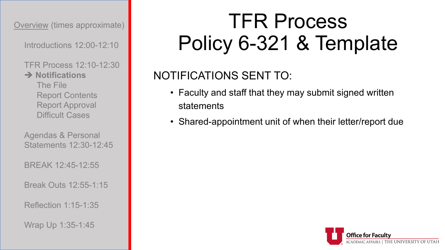Introductions 12:00-12:10

TFR Process 12:10-12:30

**→ Notifications** The File Report Contents Report Approval Difficult Cases

Agendas & Personal Statements 12:30-12:45

BREAK 12:45-12:55

Break Outs 12:55-1:15

Reflection 1:15-1:35

Wrap Up 1:35-1:45

## TFR Process Policy 6-321 & Template

### NOTIFICATIONS SENT TO:

- Faculty and staff that they may submit signed written statements
- Shared-appointment unit of when their letter/report due

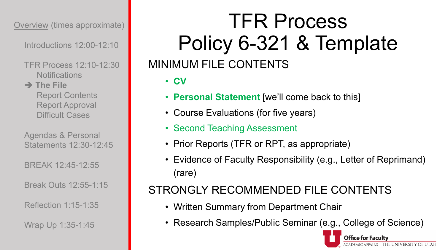Introductions 12:00-12:10

- TFR Process 12:10-12:30 **Notifications**
- **→ The File** Report Contents Report Approval Difficult Cases

Agendas & Personal Statements 12:30-12:45

BREAK 12:45-12:55

Break Outs 12:55-1:15

Reflection 1:15-1:35

Wrap Up 1:35-1:45

### TFR Process Policy 6-321 & Template MINIMUM FILE CONTENTS

• **CV**

- **Personal Statement** [we'll come back to this]
- Course Evaluations (for five years)
- Second Teaching Assessment
- Prior Reports (TFR or RPT, as appropriate)
- Evidence of Faculty Responsibility (e.g., Letter of Reprimand) (rare)

#### STRONGLY RECOMMENDED FILE CONTENTS

- Written Summary from Department Chair
- Research Samples/Public Seminar (e.g., College of Science)

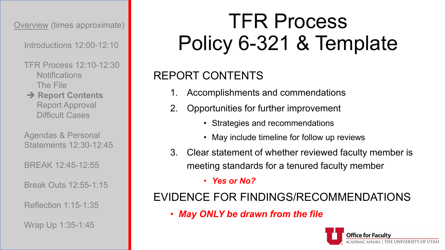Introductions 12:00-12:10

TFR Process 12:10-12:30 **Notifications** The File

**→ Report Contents** Report Approval Difficult Cases

Agendas & Personal Statements 12:30-12:45

BREAK 12:45-12:55

Break Outs 12:55-1:15

Reflection 1:15-1:35

Wrap Up 1:35-1:45

## TFR Process Policy 6-321 & Template

### REPORT CONTENTS

- Accomplishments and commendations
- 2. Opportunities for further improvement
	- Strategies and recommendations
	- May include timeline for follow up reviews
- 3. Clear statement of whether reviewed faculty member is meeting standards for a tenured faculty member

• *Yes or No?*

#### EVIDENCE FOR FINDINGS/RECOMMENDATIONS

• *May ONLY be drawn from the file*

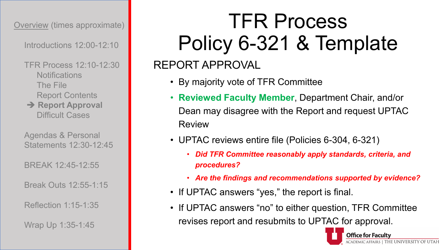Introductions 12:00-12:10

TFR Process 12:10-12:30 **Notifications** The File Report Contents **→ Report Approval** Difficult Cases

Agendas & Personal Statements 12:30-12:45

BREAK 12:45-12:55

Break Outs 12:55-1:15

Reflection 1:15-1:35

Wrap Up 1:35-1:45

## TFR Process Policy 6-321 & Template

### REPORT APPROVAL

- By majority vote of TFR Committee
- **Reviewed Faculty Member**, Department Chair, and/or Dean may disagree with the Report and request UPTAC Review
- UPTAC reviews entire file (Policies 6-304, 6-321)
	- *Did TFR Committee reasonably apply standards, criteria, and procedures?*
	- *Are the findings and recommendations supported by evidence?*
- If UPTAC answers "yes," the report is final.
- If UPTAC answers "no" to either question, TFR Committee revises report and resubmits to UPTAC for approval.

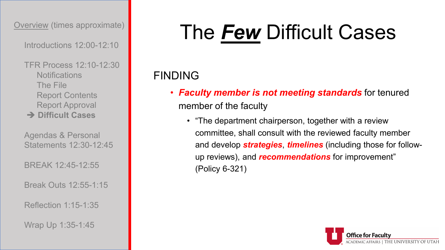Introductions 12:00-12:10

TFR Process 12:10-12:30 **Notifications** The File Report Contents Report Approval **Difficult Cases**

Agendas & Personal Statements 12:30-12:45

BREAK 12:45-12:55

Break Outs 12:55-1:15

Reflection 1:15-1:35

Wrap Up 1:35-1:45

## The *Few* Difficult Cases

### FINDING

- *Faculty member is not meeting standards* for tenured member of the faculty
	- "The department chairperson, together with a review committee, shall consult with the reviewed faculty member and develop *strategies*, *timelines* (including those for followup reviews), and *recommendations* for improvement" (Policy 6-321)

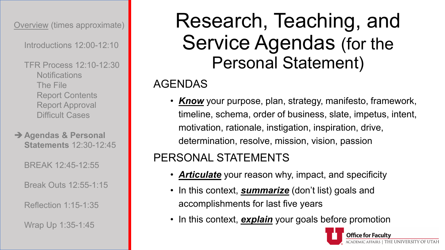Introductions 12:00-12:10

- TFR Process 12:10-12:30 **Notifications** The File Report Contents Report Approval Difficult Cases
- **Agendas & Personal Statements** 12:30-12:45

BREAK 12:45-12:55

Break Outs 12:55-1:15

Reflection 1:15-1:35

Wrap Up 1:35-1:45

### Research, Teaching, and Service Agendas (for the Personal Statement)

#### AGENDAS

• *Know* your purpose, plan, strategy, manifesto, framework, timeline, schema, order of business, slate, impetus, intent, motivation, rationale, instigation, inspiration, drive, determination, resolve, mission, vision, passion

#### PERSONAL STATEMENTS

- *Articulate* your reason why, impact, and specificity
- In this context, *summarize* (don't list) goals and accomplishments for last five years
- In this context, **explain** your goals before promotion

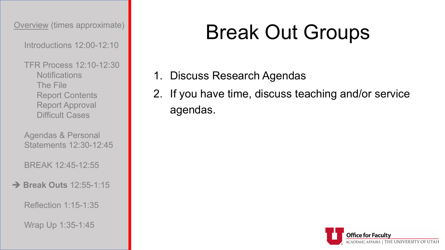Introductions 12:00-12:10

TFR Process 12:10-12:30 **Notifications** The File Report Contents Report Approval Difficult Cases

Agendas & Personal Statements 12:30-12:45

BREAK 12:45-12:55

**Break Outs** 12:55-1:15

Reflection 1:15-1:35

Wrap Up 1:35-1:45

## Break Out Groups

- 1. Discuss Research Agendas
- 2. If you have time, discuss teaching and/or service agendas.

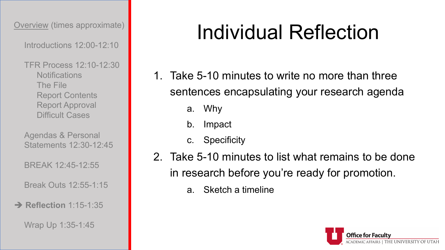Introductions 12:00-12:10

TFR Process 12:10-12:30 **Notifications** The File Report Contents Report Approval Difficult Cases

Agendas & Personal Statements 12:30-12:45

BREAK 12:45-12:55

Break Outs 12:55-1:15

#### **→ Reflection** 1:15-1:35

Wrap Up 1:35-1:45

## Individual Reflection

- 1. Take 5-10 minutes to write no more than three sentences encapsulating your research agenda
	- a. Why
	- b. Impact
	- c. Specificity
- 2. Take 5-10 minutes to list what remains to be done in research before you're ready for promotion.
	- a. Sketch a timeline